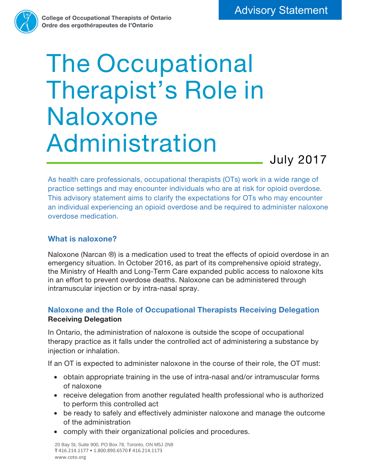



# The Occupational Therapist's Role in Naloxone Administration

July 2017

As health care professionals, occupational therapists (OTs) work in a wide range of practice settings and may encounter individuals who are at risk for opioid overdose. This advisory statement aims to clarify the expectations for OTs who may encounter an individual experiencing an opioid overdose and be required to administer naloxone overdose medication.

### What is naloxone?

Naloxone (Narcan ®) is a medication used to treat the effects of opioid overdose in an emergency situation. In October 2016, as part of its comprehensive opioid strategy, the Ministry of Health and Long-Term Care expanded public access to naloxone kits in an effort to prevent overdose deaths. Naloxone can be administered through intramuscular injection or by intra-nasal spray.

## Naloxone and the Role of Occupational Therapists Receiving Delegation Receiving Delegation

In Ontario, the administration of naloxone is outside the scope of occupational therapy practice as it falls under the controlled act of administering a substance by injection or inhalation.

If an OT is expected to administer naloxone in the course of their role, the OT must:

- obtain appropriate training in the use of intra-nasal and/or intramuscular forms of naloxone
- receive delegation from another regulated health professional who is authorized to perform this controlled act
- be ready to safely and effectively administer naloxone and manage the outcome of the administration
- comply with their organizational policies and procedures.